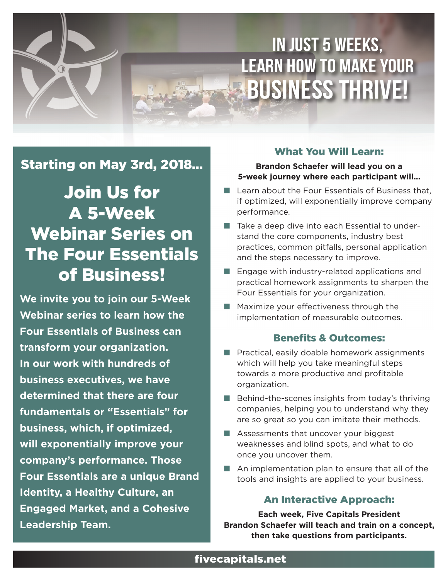# In Just 5 Weeks, Learn How to Make Your **BUSINESS THRIVE!**

### Starting on May 3rd, 2018…

## Join Us for A 5-Week Webinar Series on The Four Essentials of Business!

**We invite you to join our 5-Week Webinar series to learn how the Four Essentials of Business can transform your organization. In our work with hundreds of business executives, we have determined that there are four fundamentals or "Essentials" for business, which, if optimized, will exponentially improve your company's performance. Those Four Essentials are a unique Brand Identity, a Healthy Culture, an Engaged Market, and a Cohesive Leadership Team.**

#### What You Will Learn:

#### **Brandon Schaefer will lead you on a 5-week journey where each participant will…**

- $\blacksquare$  Learn about the Four Essentials of Business that, if optimized, will exponentially improve company performance.
- $\blacksquare$  Take a deep dive into each Essential to understand the core components, industry best practices, common pitfalls, personal application and the steps necessary to improve.
- $\blacksquare$  Engage with industry-related applications and practical homework assignments to sharpen the Four Essentials for your organization.
- $\blacksquare$  Maximize your effectiveness through the implementation of measurable outcomes.

#### Benefits & Outcomes:

- $\blacksquare$  Practical, easily doable homework assignments which will help you take meaningful steps towards a more productive and profitable organization.
- $\blacksquare$  Behind-the-scenes insights from today's thriving companies, helping you to understand why they are so great so you can imitate their methods.
- $\blacksquare$  Assessments that uncover your biggest weaknesses and blind spots, and what to do once you uncover them.
- $\blacksquare$  An implementation plan to ensure that all of the tools and insights are applied to your business.

#### An Interactive Approach:

**Each week, Five Capitals President Brandon Schaefer will teach and train on a concept, then take questions from participants.**

#### fivecapitals.net